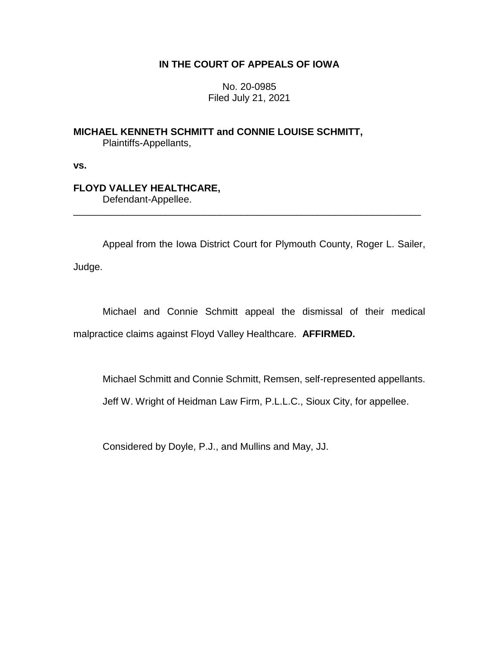## **IN THE COURT OF APPEALS OF IOWA**

No. 20-0985 Filed July 21, 2021

**MICHAEL KENNETH SCHMITT and CONNIE LOUISE SCHMITT,** Plaintiffs-Appellants,

**vs.**

## **FLOYD VALLEY HEALTHCARE,**

Defendant-Appellee.

Appeal from the Iowa District Court for Plymouth County, Roger L. Sailer,

\_\_\_\_\_\_\_\_\_\_\_\_\_\_\_\_\_\_\_\_\_\_\_\_\_\_\_\_\_\_\_\_\_\_\_\_\_\_\_\_\_\_\_\_\_\_\_\_\_\_\_\_\_\_\_\_\_\_\_\_\_\_\_\_

Judge.

Michael and Connie Schmitt appeal the dismissal of their medical malpractice claims against Floyd Valley Healthcare. **AFFIRMED.**

Michael Schmitt and Connie Schmitt, Remsen, self-represented appellants.

Jeff W. Wright of Heidman Law Firm, P.L.L.C., Sioux City, for appellee.

Considered by Doyle, P.J., and Mullins and May, JJ.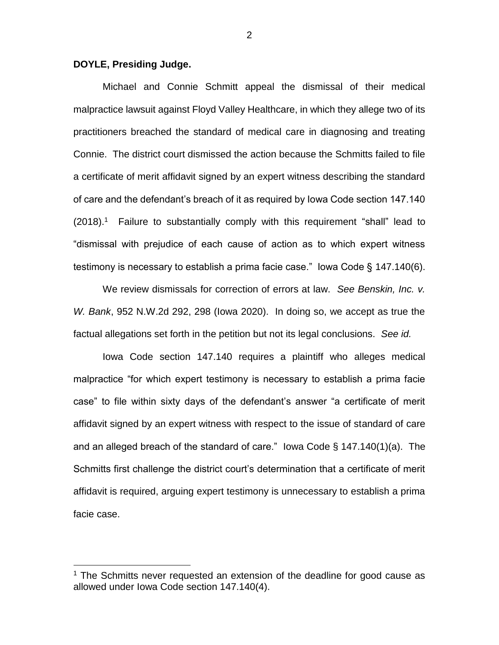## **DOYLE, Presiding Judge.**

 $\overline{a}$ 

Michael and Connie Schmitt appeal the dismissal of their medical malpractice lawsuit against Floyd Valley Healthcare, in which they allege two of its practitioners breached the standard of medical care in diagnosing and treating Connie. The district court dismissed the action because the Schmitts failed to file a certificate of merit affidavit signed by an expert witness describing the standard of care and the defendant's breach of it as required by Iowa Code section 147.140 (2018).<sup>1</sup> Failure to substantially comply with this requirement "shall" lead to "dismissal with prejudice of each cause of action as to which expert witness testimony is necessary to establish a prima facie case." Iowa Code § 147.140(6).

We review dismissals for correction of errors at law. *See Benskin, Inc. v. W. Bank*, 952 N.W.2d 292, 298 (Iowa 2020). In doing so, we accept as true the factual allegations set forth in the petition but not its legal conclusions. *See id.*

Iowa Code section 147.140 requires a plaintiff who alleges medical malpractice "for which expert testimony is necessary to establish a prima facie case" to file within sixty days of the defendant's answer "a certificate of merit affidavit signed by an expert witness with respect to the issue of standard of care and an alleged breach of the standard of care." Iowa Code § 147.140(1)(a). The Schmitts first challenge the district court's determination that a certificate of merit affidavit is required, arguing expert testimony is unnecessary to establish a prima facie case.

<sup>&</sup>lt;sup>1</sup> The Schmitts never requested an extension of the deadline for good cause as allowed under Iowa Code section 147.140(4).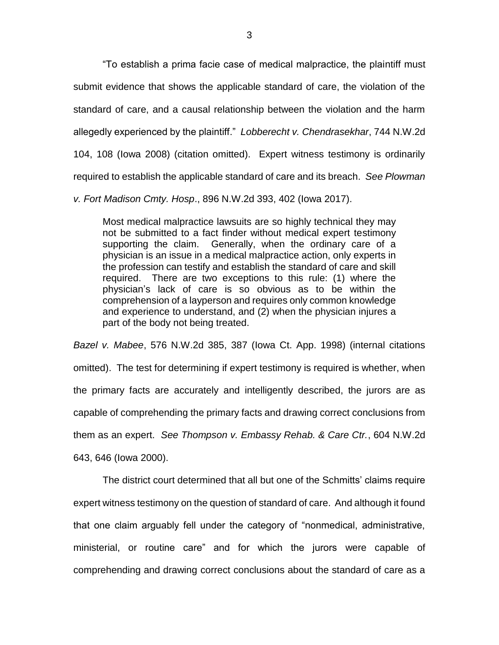"To establish a prima facie case of medical malpractice, the plaintiff must submit evidence that shows the applicable standard of care, the violation of the standard of care, and a causal relationship between the violation and the harm allegedly experienced by the plaintiff." *Lobberecht v. Chendrasekhar*, 744 N.W.2d 104, 108 (Iowa 2008) (citation omitted). Expert witness testimony is ordinarily required to establish the applicable standard of care and its breach. *See Plowman* 

*v. Fort Madison Cmty. Hosp*., 896 N.W.2d 393, 402 (Iowa 2017).

Most medical malpractice lawsuits are so highly technical they may not be submitted to a fact finder without medical expert testimony supporting the claim. Generally, when the ordinary care of a physician is an issue in a medical malpractice action, only experts in the profession can testify and establish the standard of care and skill required. There are two exceptions to this rule: (1) where the physician's lack of care is so obvious as to be within the comprehension of a layperson and requires only common knowledge and experience to understand, and (2) when the physician injures a part of the body not being treated.

*Bazel v. Mabee*, 576 N.W.2d 385, 387 (Iowa Ct. App. 1998) (internal citations omitted). The test for determining if expert testimony is required is whether, when the primary facts are accurately and intelligently described, the jurors are as capable of comprehending the primary facts and drawing correct conclusions from them as an expert. *See Thompson v. Embassy Rehab. & Care Ctr.*, 604 N.W.2d 643, 646 (Iowa 2000).

The district court determined that all but one of the Schmitts' claims require expert witness testimony on the question of standard of care. And although it found that one claim arguably fell under the category of "nonmedical, administrative, ministerial, or routine care" and for which the jurors were capable of comprehending and drawing correct conclusions about the standard of care as a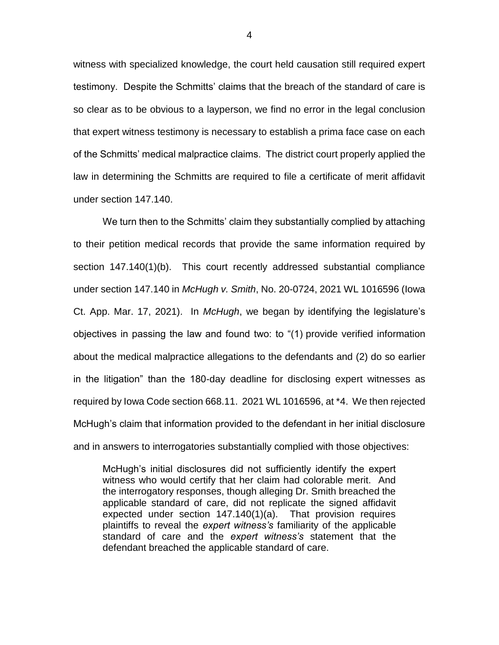witness with specialized knowledge, the court held causation still required expert testimony. Despite the Schmitts' claims that the breach of the standard of care is so clear as to be obvious to a layperson, we find no error in the legal conclusion that expert witness testimony is necessary to establish a prima face case on each of the Schmitts' medical malpractice claims. The district court properly applied the law in determining the Schmitts are required to file a certificate of merit affidavit under section 147.140.

We turn then to the Schmitts' claim they substantially complied by attaching to their petition medical records that provide the same information required by section 147.140(1)(b). This court recently addressed substantial compliance under section 147.140 in *McHugh v. Smith*, No. 20-0724, 2021 WL 1016596 (Iowa Ct. App. Mar. 17, 2021). In *McHugh*, we began by identifying the legislature's objectives in passing the law and found two: to "(1) provide verified information about the medical malpractice allegations to the defendants and (2) do so earlier in the litigation" than the 180-day deadline for disclosing expert witnesses as required by Iowa Code section 668.11. 2021 WL 1016596, at \*4. We then rejected McHugh's claim that information provided to the defendant in her initial disclosure and in answers to interrogatories substantially complied with those objectives:

McHugh's initial disclosures did not sufficiently identify the expert witness who would certify that her claim had colorable merit. And the interrogatory responses, though alleging Dr. Smith breached the applicable standard of care, did not replicate the signed affidavit expected under section 147.140(1)(a). That provision requires plaintiffs to reveal the *expert witness's* familiarity of the applicable standard of care and the *expert witness's* statement that the defendant breached the applicable standard of care.

4